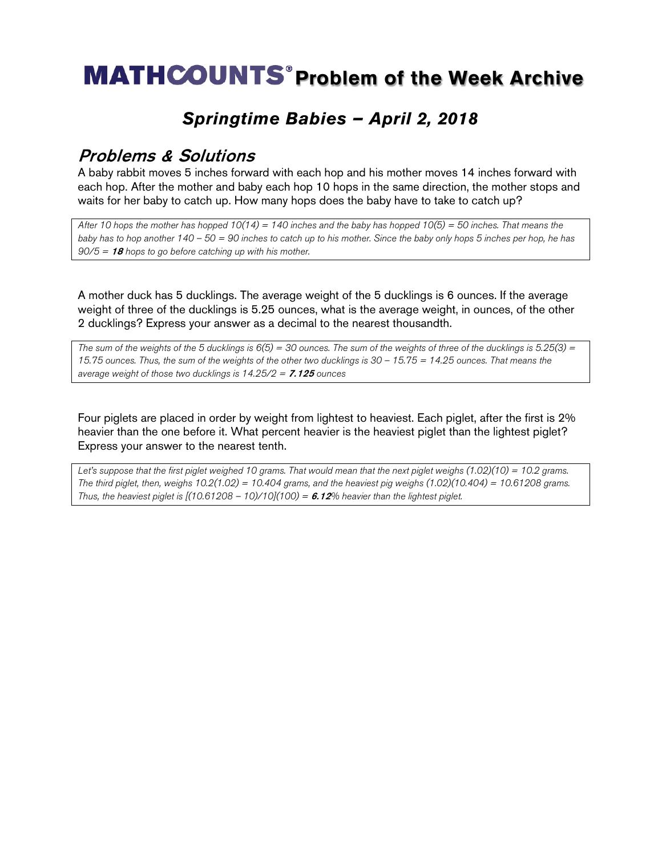# **MATHCOUNTS<sup>®</sup> Problem of the Week Archive**

### *Springtime Babies – April 2, 2018*

#### Problems & Solutions

A baby rabbit moves 5 inches forward with each hop and his mother moves 14 inches forward with each hop. After the mother and baby each hop 10 hops in the same direction, the mother stops and waits for her baby to catch up. How many hops does the baby have to take to catch up?

*After 10 hops the mother has hopped 10(14) = 140 inches and the baby has hopped 10(5) = 50 inches. That means the baby has to hop another 140 – 50 = 90 inches to catch up to his mother. Since the baby only hops 5 inches per hop, he has 90/5 =* <sup>18</sup> *hops to go before catching up with his mother.*

A mother duck has 5 ducklings. The average weight of the 5 ducklings is 6 ounces. If the average weight of three of the ducklings is 5.25 ounces, what is the average weight, in ounces, of the other 2 ducklings? Express your answer as a decimal to the nearest thousandth.

*The sum of the weights of the 5 ducklings is 6(5) = 30 ounces. The sum of the weights of three of the ducklings is 5.25(3) = 15.75 ounces. Thus, the sum of the weights of the other two ducklings is 30 – 15.75 = 14.25 ounces. That means the average weight of those two ducklings is 14.25/2 =* 7.125 *ounces*

Four piglets are placed in order by weight from lightest to heaviest. Each piglet, after the first is 2% heavier than the one before it. What percent heavier is the heaviest piglet than the lightest piglet? Express your answer to the nearest tenth.

*Let's suppose that the first piglet weighed 10 grams. That would mean that the next piglet weighs (1.02)(10) = 10.2 grams. The third piglet, then, weighs 10.2(1.02) = 10.404 grams, and the heaviest pig weighs (1.02)(10.404) = 10.61208 grams. Thus, the heaviest piglet is*  $[(10.61208 - 10)/10](100) = 6.12%$  *heavier than the lightest piglet.*